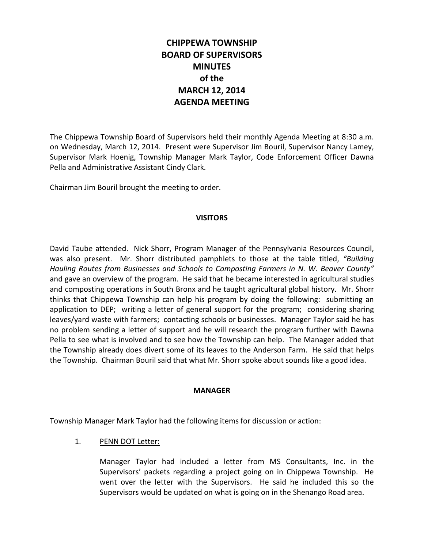# **CHIPPEWA TOWNSHIP BOARD OF SUPERVISORS MINUTES of the MARCH 12, 2014 AGENDA MEETING**

The Chippewa Township Board of Supervisors held their monthly Agenda Meeting at 8:30 a.m. on Wednesday, March 12, 2014. Present were Supervisor Jim Bouril, Supervisor Nancy Lamey, Supervisor Mark Hoenig, Township Manager Mark Taylor, Code Enforcement Officer Dawna Pella and Administrative Assistant Cindy Clark.

Chairman Jim Bouril brought the meeting to order.

### **VISITORS**

David Taube attended. Nick Shorr, Program Manager of the Pennsylvania Resources Council, was also present. Mr. Shorr distributed pamphlets to those at the table titled, *"Building Hauling Routes from Businesses and Schools to Composting Farmers in N. W. Beaver County"* and gave an overview of the program. He said that he became interested in agricultural studies and composting operations in South Bronx and he taught agricultural global history. Mr. Shorr thinks that Chippewa Township can help his program by doing the following: submitting an application to DEP; writing a letter of general support for the program; considering sharing leaves/yard waste with farmers; contacting schools or businesses. Manager Taylor said he has no problem sending a letter of support and he will research the program further with Dawna Pella to see what is involved and to see how the Township can help. The Manager added that the Township already does divert some of its leaves to the Anderson Farm. He said that helps the Township. Chairman Bouril said that what Mr. Shorr spoke about sounds like a good idea.

### **MANAGER**

Township Manager Mark Taylor had the following items for discussion or action:

# 1. PENN DOT Letter:

Manager Taylor had included a letter from MS Consultants, Inc. in the Supervisors' packets regarding a project going on in Chippewa Township. He went over the letter with the Supervisors. He said he included this so the Supervisors would be updated on what is going on in the Shenango Road area.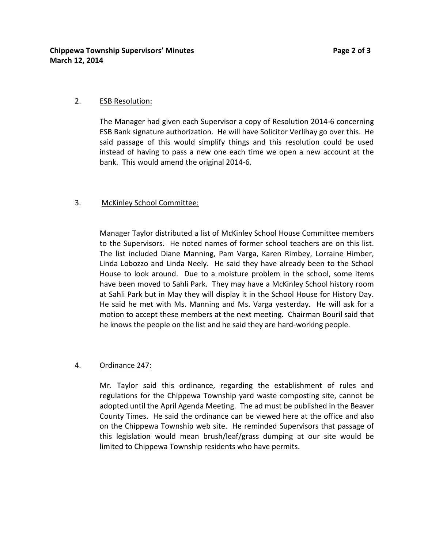### 2. ESB Resolution:

The Manager had given each Supervisor a copy of Resolution 2014-6 concerning ESB Bank signature authorization. He will have Solicitor Verlihay go over this. He said passage of this would simplify things and this resolution could be used instead of having to pass a new one each time we open a new account at the bank. This would amend the original 2014-6.

### 3. McKinley School Committee:

Manager Taylor distributed a list of McKinley School House Committee members to the Supervisors. He noted names of former school teachers are on this list. The list included Diane Manning, Pam Varga, Karen Rimbey, Lorraine Himber, Linda Lobozzo and Linda Neely. He said they have already been to the School House to look around. Due to a moisture problem in the school, some items have been moved to Sahli Park. They may have a McKinley School history room at Sahli Park but in May they will display it in the School House for History Day. He said he met with Ms. Manning and Ms. Varga yesterday. He will ask for a motion to accept these members at the next meeting. Chairman Bouril said that he knows the people on the list and he said they are hard-working people.

# 4. Ordinance 247:

Mr. Taylor said this ordinance, regarding the establishment of rules and regulations for the Chippewa Township yard waste composting site, cannot be adopted until the April Agenda Meeting. The ad must be published in the Beaver County Times. He said the ordinance can be viewed here at the office and also on the Chippewa Township web site. He reminded Supervisors that passage of this legislation would mean brush/leaf/grass dumping at our site would be limited to Chippewa Township residents who have permits.